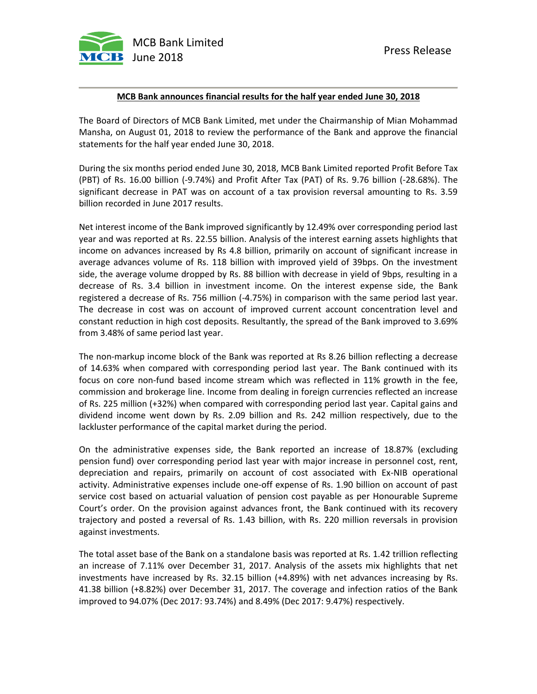

## **MCB Bank announces financial results for the half year ended June 30, 2018**

The Board of Directors of MCB Bank Limited, met under the Chairmanship of Mian Mohammad Mansha, on August 01, 2018 to review the performance of the Bank and approve the financial statements for the half year ended June 30, 2018.

During the six months period ended June 30, 2018, MCB Bank Limited reported Profit Before Tax (PBT) of Rs. 16.00 billion (-9.74%) and Profit After Tax (PAT) of Rs. 9.76 billion (-28.68%). The significant decrease in PAT was on account of a tax provision reversal amounting to Rs. 3.59 billion recorded in June 2017 results.

Net interest income of the Bank improved significantly by 12.49% over corresponding period last year and was reported at Rs. 22.55 billion. Analysis of the interest earning assets highlights that income on advances increased by Rs 4.8 billion, primarily on account of significant increase in average advances volume of Rs. 118 billion with improved yield of 39bps. On the investment side, the average volume dropped by Rs. 88 billion with decrease in yield of 9bps, resulting in a decrease of Rs. 3.4 billion in investment income. On the interest expense side, the Bank registered a decrease of Rs. 756 million (-4.75%) in comparison with the same period last year. The decrease in cost was on account of improved current account concentration level and constant reduction in high cost deposits. Resultantly, the spread of the Bank improved to 3.69% from 3.48% of same period last year.

The non-markup income block of the Bank was reported at Rs 8.26 billion reflecting a decrease of 14.63% when compared with corresponding period last year. The Bank continued with its focus on core non-fund based income stream which was reflected in 11% growth in the fee, commission and brokerage line. Income from dealing in foreign currencies reflected an increase of Rs. 225 million (+32%) when compared with corresponding period last year. Capital gains and dividend income went down by Rs. 2.09 billion and Rs. 242 million respectively, due to the lackluster performance of the capital market during the period.

On the administrative expenses side, the Bank reported an increase of 18.87% (excluding pension fund) over corresponding period last year with major increase in personnel cost, rent, depreciation and repairs, primarily on account of cost associated with Ex-NIB operational activity. Administrative expenses include one-off expense of Rs. 1.90 billion on account of past service cost based on actuarial valuation of pension cost payable as per Honourable Supreme Court's order. On the provision against advances front, the Bank continued with its recovery trajectory and posted a reversal of Rs. 1.43 billion, with Rs. 220 million reversals in provision against investments.

The total asset base of the Bank on a standalone basis was reported at Rs. 1.42 trillion reflecting an increase of 7.11% over December 31, 2017. Analysis of the assets mix highlights that net investments have increased by Rs. 32.15 billion (+4.89%) with net advances increasing by Rs. 41.38 billion (+8.82%) over December 31, 2017. The coverage and infection ratios of the Bank improved to 94.07% (Dec 2017: 93.74%) and 8.49% (Dec 2017: 9.47%) respectively.